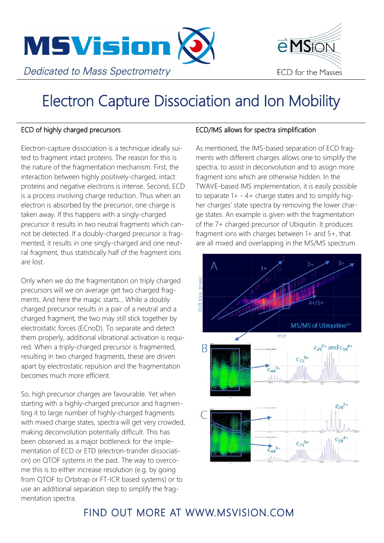

# Electron Capture Dissociation and Ion Mobility

#### ECD of highly charged precursors

Electron-capture dissociation is a technique ideally suited to fragment intact proteins. The reason for this is the nature of the fragmentation mechanism. First, the interaction between highly positively-charged, intact proteins and negative electrons is intense. Second, ECD is a process involving charge reduction. Thus when an electron is absorbed by the precursor, one charge is taken away. If this happens with a singly-charged precursor it results in two neutral fragments which cannot be detected. If a doubly-charged precursor is fragmented, it results in one singly-charged and one neutral fragment, thus statistically half of the fragment ions are lost.

Only when we do the fragmentation on triply charged precursors will we on average get two charged fragments. And here the magic starts... While a doubly charged precursor results in a pair of a neutral and a charged fragment, the two may still stick together by electrostatic forces (ECnoD). To separate and detect them properly, additional vibrational activation is required. When a triply-charged precursor is fragmented, resulting in two charged fragments, these are driven apart by electrostatic repulsion and the fragmentation becomes much more efficient.

So, high precursor charges are favourable. Yet when starting with a highly-charged precursor and fragmenting it to large number of highly-charged fragments with mixed charge states, spectra will get very crowded, making deconvolution potentially difficult. This has been observed as a major bottleneck for the implementation of ECD or ETD (electron-transfer dissociation) on QTOF systems in the past. The way to overcome this is to either increase resolution (e.g. by going from QTOF to Orbitrap or FT-ICR based systems) or to use an additional separation step to simplify the fragmentation spectra.

#### ECD/IMS allows for spectra simplification

As mentioned, the IMS-based separation of ECD fragments with different charges allows one to simplify the spectra, to assist in deconvolution and to assign more fragment ions which are otherwise hidden. In the TWAVE-based IMS implementation, it is easily possible to separate  $1+ - 4+$  charge states and to simplify higher charges' state spectra by removing the lower charge states. An example is given with the fragmentation of the 7+ charged precursor of Ubiquitin. It produces fragment ions with charges between 1+ and 5+, that are all mixed and overlapping in the MS/MS spectrum.

eMSON

ECD for the Masses



## FIND OUT MORE AT WWW.MSVISION.COM